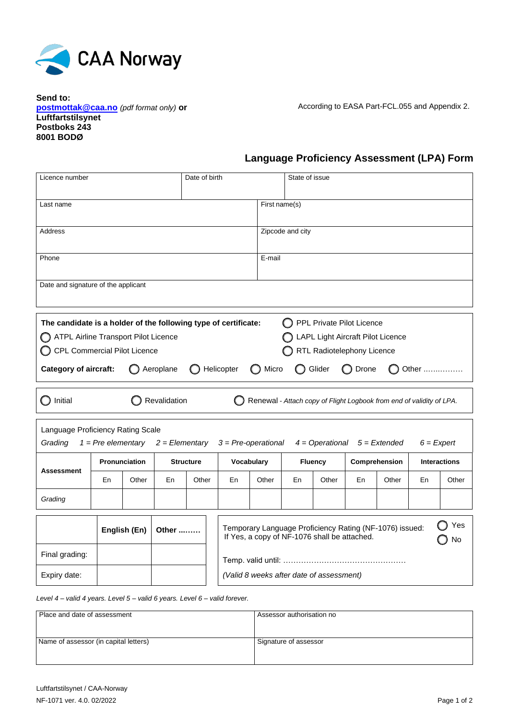

**Send to: postmottak@caa.no** *(pdf format only)* **or Luftfartstilsynet Postboks 243 8001 BODØ**

According to EASA Part-FCL.055 and Appendix 2.

## **Language Proficiency Assessment (LPA) Form**

| Licence number                                                                                                                                                                                                                                                                                                                                |                      |       |                  | Date of birth |                                                                                                                      |                  | State of issue |       |               |       |                     |       |  |
|-----------------------------------------------------------------------------------------------------------------------------------------------------------------------------------------------------------------------------------------------------------------------------------------------------------------------------------------------|----------------------|-------|------------------|---------------|----------------------------------------------------------------------------------------------------------------------|------------------|----------------|-------|---------------|-------|---------------------|-------|--|
| Last name                                                                                                                                                                                                                                                                                                                                     |                      |       |                  |               |                                                                                                                      | First name(s)    |                |       |               |       |                     |       |  |
| <b>Address</b>                                                                                                                                                                                                                                                                                                                                |                      |       |                  |               |                                                                                                                      | Zipcode and city |                |       |               |       |                     |       |  |
| Phone                                                                                                                                                                                                                                                                                                                                         |                      |       |                  |               |                                                                                                                      | E-mail           |                |       |               |       |                     |       |  |
| Date and signature of the applicant                                                                                                                                                                                                                                                                                                           |                      |       |                  |               |                                                                                                                      |                  |                |       |               |       |                     |       |  |
| PPL Private Pilot Licence<br>The candidate is a holder of the following type of certificate:<br>ATPL Airline Transport Pilot Licence<br>LAPL Light Aircraft Pilot Licence<br>CPL Commercial Pilot Licence<br>RTL Radiotelephony Licence<br>Helicopter<br><b>Category of aircraft:</b><br>Aeroplane<br>Micro<br>Glider<br>Drone<br>()<br>Other |                      |       |                  |               |                                                                                                                      |                  |                |       |               |       |                     |       |  |
| Revalidation<br>Initial<br>Renewal - Attach copy of Flight Logbook from end of validity of LPA.                                                                                                                                                                                                                                               |                      |       |                  |               |                                                                                                                      |                  |                |       |               |       |                     |       |  |
| Language Proficiency Rating Scale<br>Grading<br>$1 = Pre$ elementary<br>$2 = Elementary$<br>$3 = Pre-operational$<br>$4 =$ Operational<br>$5 =$ Extended<br>$6$ = Expert                                                                                                                                                                      |                      |       |                  |               |                                                                                                                      |                  |                |       |               |       |                     |       |  |
| <b>Assessment</b>                                                                                                                                                                                                                                                                                                                             | <b>Pronunciation</b> |       | <b>Structure</b> |               | Vocabulary                                                                                                           |                  | <b>Fluency</b> |       | Comprehension |       | <b>Interactions</b> |       |  |
|                                                                                                                                                                                                                                                                                                                                               | En                   | Other | En               | Other         | En                                                                                                                   | Other            | En             | Other | En            | Other | En                  | Other |  |
| Grading                                                                                                                                                                                                                                                                                                                                       |                      |       |                  |               |                                                                                                                      |                  |                |       |               |       |                     |       |  |
|                                                                                                                                                                                                                                                                                                                                               | English (En)         |       | Other            |               | Yes<br>Temporary Language Proficiency Rating (NF-1076) issued:<br>If Yes, a copy of NF-1076 shall be attached.<br>No |                  |                |       |               |       |                     |       |  |
| Final grading:                                                                                                                                                                                                                                                                                                                                |                      |       |                  |               |                                                                                                                      |                  |                |       |               |       |                     |       |  |
| Expiry date:                                                                                                                                                                                                                                                                                                                                  |                      |       |                  |               | (Valid 8 weeks after date of assessment)                                                                             |                  |                |       |               |       |                     |       |  |

*Level 4 – valid 4 years. Level 5 – valid 6 years. Level 6 – valid forever.*

| Place and date of assessment          | Assessor authorisation no |
|---------------------------------------|---------------------------|
| Name of assessor (in capital letters) | Signature of assessor     |